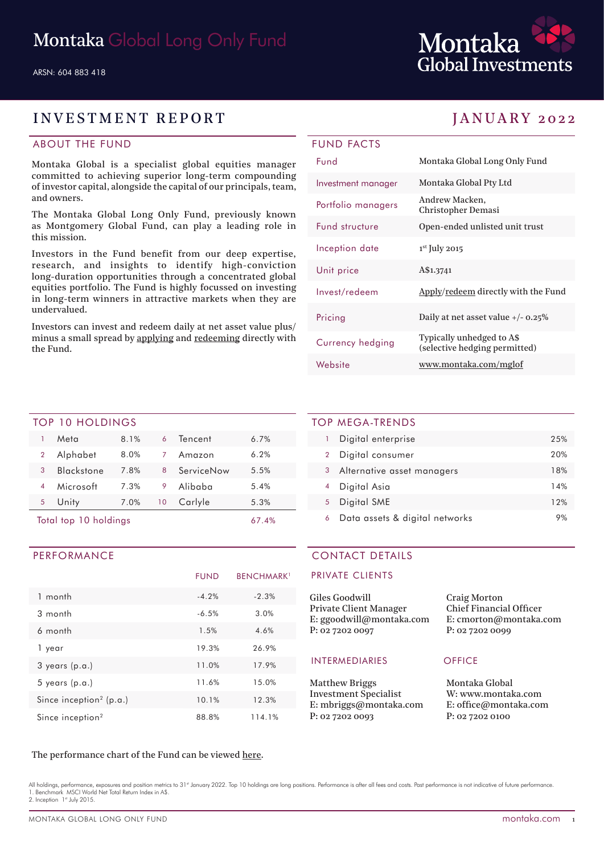

## INVESTMENT REPORT JANUARY 2022

### ABOUT THE FUND

Montaka Global is a specialist global equities manager committed to achieving superior long-term compounding of investor capital, alongside the capital of our principals, team, and owners.

The Montaka Global Long Only Fund, previously known as Montgomery Global Fund, can play a leading role in this mission.

Investors in the Fund benefit from our deep expertise, research, and insights to identify high-conviction long-duration opportunities through a concentrated global equities portfolio. The Fund is highly focussed on investing in long-term winners in attractive markets when they are undervalued.

Investors can invest and redeem daily at net asset value plus/ minus a small spread by applying and redeeming directly with the Fund.

| <b>FUND FACTS</b>  |                                                            |
|--------------------|------------------------------------------------------------|
| <b>Fund</b>        | Montaka Global Long Only Fund                              |
| Investment manager | Montaka Global Pty Ltd                                     |
| Portfolio managers | Andrew Macken,<br><b>Christopher Demasi</b>                |
| Fund structure     | Open-ended unlisted unit trust                             |
| Inception date     | 1st July 2015                                              |
| Unit price         | A\$1.3741                                                  |
| Invest/redeem      | Apply/redeem directly with the Fund                        |
| Pricing            | Daily at net asset value $+/- 0.25\%$                      |
| Currency hedging   | Typically unhedged to A\$<br>(selective hedging permitted) |
| Website            | www.montaka.com/mglof                                      |

#### TOP 10 HOLDINGS

|   | Meta                  | 8.1% | 6  | Tencent    | 6.7%  |
|---|-----------------------|------|----|------------|-------|
| 2 | Alphabet              | 8.0% | 7  | Amazon     | 6.2%  |
| 3 | <b>Blackstone</b>     | 7.8% | 8  | ServiceNow | 5.5%  |
|   | Microsoft             | 7.3% | 9  | Alibaba    | 5.4%  |
| 5 | Unity                 | 7.0% | 10 | Carlyle    | 5.3%  |
|   | Total top 10 holdings |      |    |            | 67.4% |

#### PERFORMANCE

|                                     | <b>FUND</b> | <b>BENCHMARK</b> <sup>1</sup> |
|-------------------------------------|-------------|-------------------------------|
| 1 month                             | $-4.2%$     | $-2.3%$                       |
| $3$ month                           | $-6.5%$     | 3.0%                          |
| 6 month                             | 1.5%        | 4.6%                          |
| 1 year                              | 19.3%       | 26.9%                         |
| $3$ years $(p.a.)$                  | 11.0%       | 17.9%                         |
| $5$ years $(p.a.)$                  | 11.6%       | 15.0%                         |
| Since inception <sup>2</sup> (p.a.) | 10.1%       | 12.3%                         |
| Since inception <sup>2</sup>        | 88.8%       | 114.1%                        |

#### TOP MEGA-TRENDS

|   | Digital enterprise             | 25% |
|---|--------------------------------|-----|
| 2 | Digital consumer               | 20% |
| 3 | Alternative asset managers     | 18% |
|   | Digital Asia                   | 14% |
| 5 | Digital SME                    | 12% |
|   | Data assets & digital networks |     |

### CONTACT DETAILS

#### PRIVATE CLIENTS

| Giles Goodwill           | <b>Craig Morton</b>            |
|--------------------------|--------------------------------|
| Private Client Manager   | <b>Chief Financial Officer</b> |
| E: ggoodwill@montaka.com | E: cmorton@montaka.com         |
| P: 02 7202 0097          | P: 0272020099                  |
|                          |                                |

#### INTERMEDIARIES OFFICE

Matthew Briggs Investment Specialist E: mbriggs@montaka.com P: 02 7202 0093

E: cmorton@montaka.com

Montaka Global W: www.montaka.com E: office@montaka.com P: 02 7202 0100

#### The performance chart of the Fund can be viewed here.

All holdings, performance, exposures and position metrics to 31<sup>st</sup> January 2022. Top 10 holdings are long positions. Performance is after all fees and costs. Past performance is not indicative of future performance. 1. Benchmark MSCI World Net Total Return Index in A\$. 2. Inception 1st July 2015.